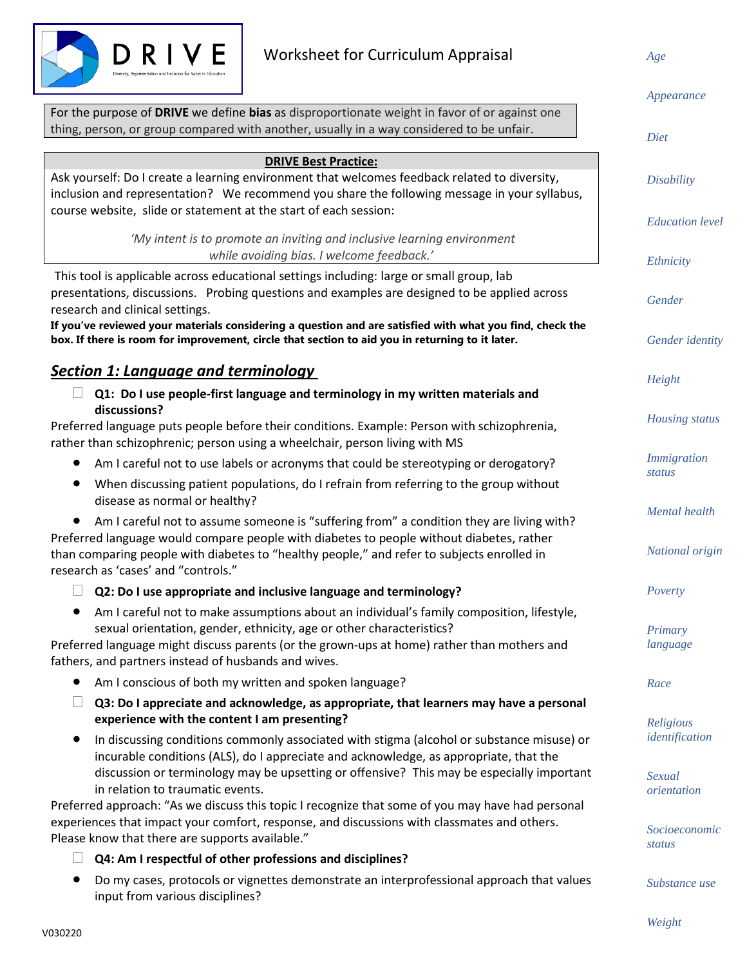

*Age*

|                                                                                                                               | Appearance              |
|-------------------------------------------------------------------------------------------------------------------------------|-------------------------|
| For the purpose of DRIVE we define bias as disproportionate weight in favor of or against one                                 |                         |
| thing, person, or group compared with another, usually in a way considered to be unfair.                                      | Diet                    |
|                                                                                                                               |                         |
| <b>DRIVE Best Practice:</b>                                                                                                   |                         |
| Ask yourself: Do I create a learning environment that welcomes feedback related to diversity,                                 | <b>Disability</b>       |
| inclusion and representation? We recommend you share the following message in your syllabus,                                  |                         |
| course website, slide or statement at the start of each session:                                                              | <b>Education</b> level  |
| 'My intent is to promote an inviting and inclusive learning environment                                                       |                         |
| while avoiding bias. I welcome feedback.'                                                                                     | Ethnicity               |
| This tool is applicable across educational settings including: large or small group, lab                                      |                         |
| presentations, discussions. Probing questions and examples are designed to be applied across                                  | Gender                  |
| research and clinical settings.                                                                                               |                         |
| If you've reviewed your materials considering a question and are satisfied with what you find, check the                      |                         |
| box. If there is room for improvement, circle that section to aid you in returning to it later.                               | Gender identity         |
| <b>Section 1: Language and terminology</b>                                                                                    |                         |
| Q1: Do I use people-first language and terminology in my written materials and                                                | Height                  |
| discussions?                                                                                                                  |                         |
| Preferred language puts people before their conditions. Example: Person with schizophrenia,                                   | <b>Housing</b> status   |
| rather than schizophrenic; person using a wheelchair, person living with MS                                                   |                         |
| Am I careful not to use labels or acronyms that could be stereotyping or derogatory?                                          | <i>Immigration</i>      |
| When discussing patient populations, do I refrain from referring to the group without                                         | status                  |
| disease as normal or healthy?                                                                                                 |                         |
| Am I careful not to assume someone is "suffering from" a condition they are living with?                                      | Mental health           |
| Preferred language would compare people with diabetes to people without diabetes, rather                                      |                         |
| than comparing people with diabetes to "healthy people," and refer to subjects enrolled in                                    | National origin         |
| research as 'cases' and "controls."                                                                                           |                         |
| Q2: Do I use appropriate and inclusive language and terminology?                                                              | Poverty                 |
| Am I careful not to make assumptions about an individual's family composition, lifestyle,                                     |                         |
| sexual orientation, gender, ethnicity, age or other characteristics?                                                          | Primary                 |
| Preferred language might discuss parents (or the grown-ups at home) rather than mothers and                                   | language                |
| fathers, and partners instead of husbands and wives.                                                                          |                         |
| Am I conscious of both my written and spoken language?<br>$\bullet$                                                           | Race                    |
| Q3: Do I appreciate and acknowledge, as appropriate, that learners may have a personal                                        |                         |
| experience with the content I am presenting?                                                                                  | Religious               |
| In discussing conditions commonly associated with stigma (alcohol or substance misuse) or<br>$\bullet$                        | identification          |
| incurable conditions (ALS), do I appreciate and acknowledge, as appropriate, that the                                         |                         |
| discussion or terminology may be upsetting or offensive? This may be especially important<br>in relation to traumatic events. | Sexual<br>orientation   |
| Preferred approach: "As we discuss this topic I recognize that some of you may have had personal                              |                         |
| experiences that impact your comfort, response, and discussions with classmates and others.                                   |                         |
| Please know that there are supports available."                                                                               | Socioeconomic<br>status |
| Q4: Am I respectful of other professions and disciplines?                                                                     |                         |
| Do my cases, protocols or vignettes demonstrate an interprofessional approach that values                                     | Substance use           |
| input from various disciplines?                                                                                               |                         |